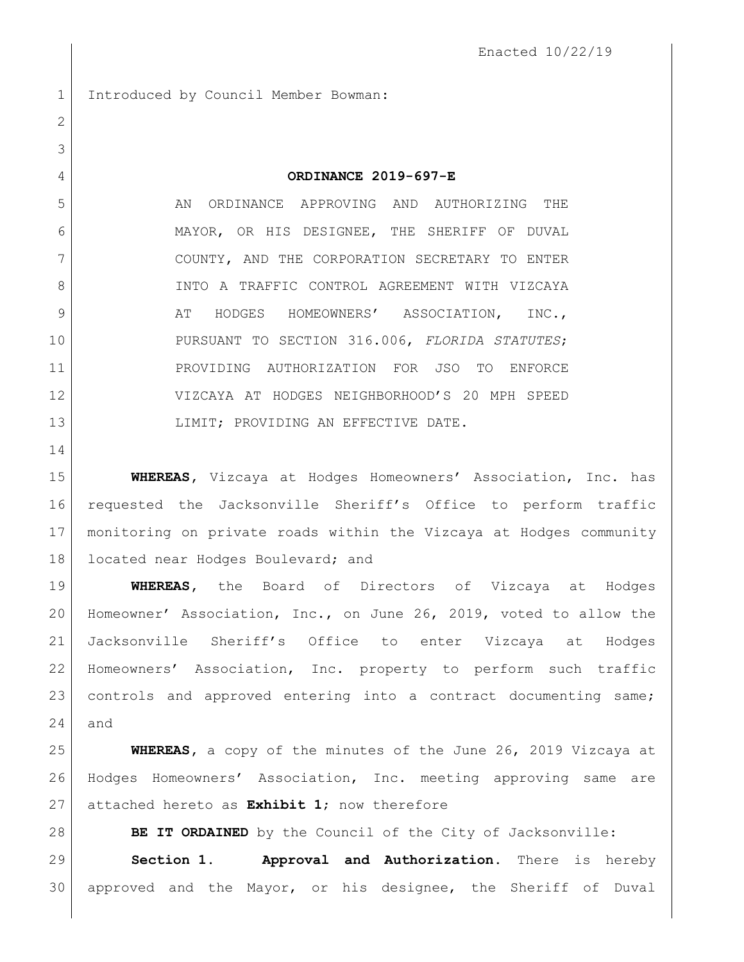Introduced by Council Member Bowman:

**ORDINANCE 2019-697-E**

5 AN ORDINANCE APPROVING AND AUTHORIZING THE MAYOR, OR HIS DESIGNEE, THE SHERIFF OF DUVAL COUNTY, AND THE CORPORATION SECRETARY TO ENTER 8 INTO A TRAFFIC CONTROL AGREEMENT WITH VIZCAYA 9 AT HODGES HOMEOWNERS' ASSOCIATION, INC., PURSUANT TO SECTION 316.006, *FLORIDA STATUTES*; PROVIDING AUTHORIZATION FOR JSO TO ENFORCE VIZCAYA AT HODGES NEIGHBORHOOD'S 20 MPH SPEED 13 LIMIT; PROVIDING AN EFFECTIVE DATE.

 **WHEREAS,** Vizcaya at Hodges Homeowners' Association, Inc. has requested the Jacksonville Sheriff's Office to perform traffic monitoring on private roads within the Vizcaya at Hodges community 18 | located near Hodges Boulevard; and

 **WHEREAS,** the Board of Directors of Vizcaya at Hodges Homeowner' Association, Inc., on June 26, 2019, voted to allow the Jacksonville Sheriff's Office to enter Vizcaya at Hodges Homeowners' Association, Inc. property to perform such traffic controls and approved entering into a contract documenting same; and

 **WHEREAS,** a copy of the minutes of the June 26, 2019 Vizcaya at Hodges Homeowners' Association, Inc. meeting approving same are attached hereto as **Exhibit 1**; now therefore

**BE IT ORDAINED** by the Council of the City of Jacksonville: **Section 1. Approval and Authorization.** There is hereby approved and the Mayor, or his designee, the Sheriff of Duval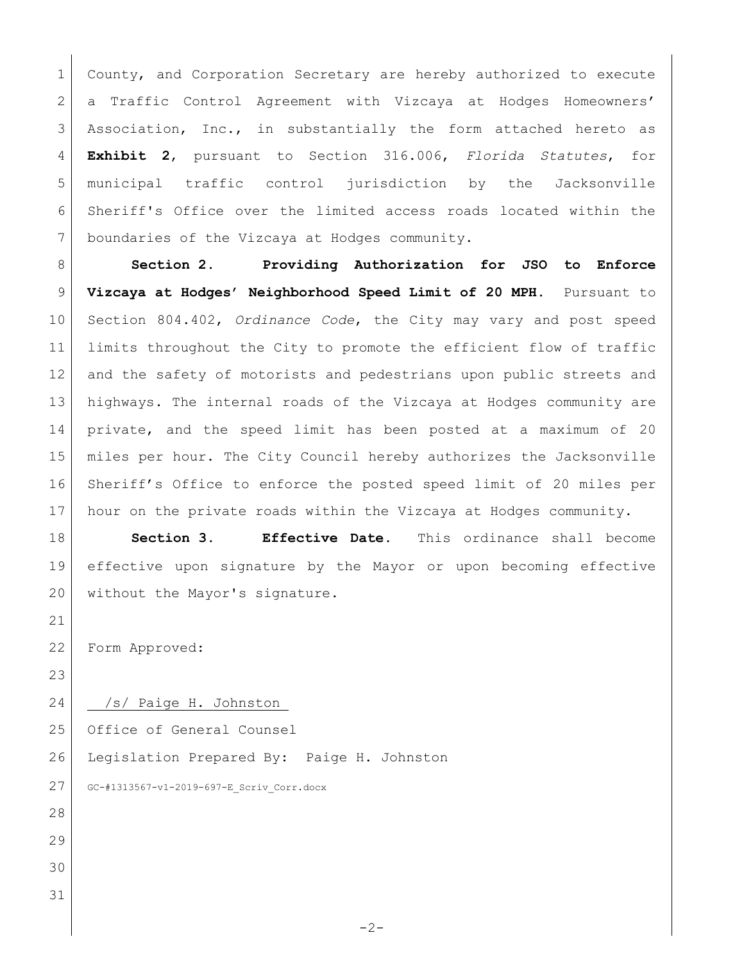1 County, and Corporation Secretary are hereby authorized to execute a Traffic Control Agreement with Vizcaya at Hodges Homeowners' 3 Association, Inc., in substantially the form attached hereto as **Exhibit 2**, pursuant to Section 316.006, *Florida Statutes*, for municipal traffic control jurisdiction by the Jacksonville Sheriff's Office over the limited access roads located within the boundaries of the Vizcaya at Hodges community.

 **Section 2. Providing Authorization for JSO to Enforce Vizcaya at Hodges' Neighborhood Speed Limit of 20 MPH**. Pursuant to Section 804.402, *Ordinance Code*, the City may vary and post speed limits throughout the City to promote the efficient flow of traffic 12 and the safety of motorists and pedestrians upon public streets and highways. The internal roads of the Vizcaya at Hodges community are private, and the speed limit has been posted at a maximum of 20 miles per hour. The City Council hereby authorizes the Jacksonville Sheriff's Office to enforce the posted speed limit of 20 miles per 17 hour on the private roads within the Vizcaya at Hodges community.

 **Section 3. Effective Date.** This ordinance shall become effective upon signature by the Mayor or upon becoming effective 20 without the Mayor's signature.

Form Approved:

24 /s/ Paige H. Johnston\_

25 Office of General Counsel

26 Legislation Prepared By: Paige H. Johnston

27 GC-#1313567-v1-2019-697-E Scriv Corr.docx

 $-2-$